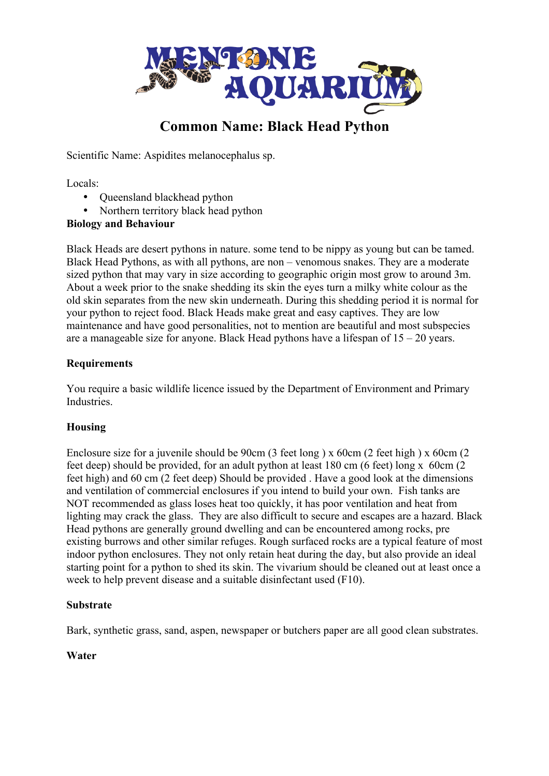

# **Common Name: Black Head Python**

Scientific Name: Aspidites melanocephalus sp.

Locals:

- Queensland blackhead python
- Northern territory black head python

### **Biology and Behaviour**

Black Heads are desert pythons in nature. some tend to be nippy as young but can be tamed. Black Head Pythons, as with all pythons, are non – venomous snakes. They are a moderate sized python that may vary in size according to geographic origin most grow to around 3m. About a week prior to the snake shedding its skin the eyes turn a milky white colour as the old skin separates from the new skin underneath. During this shedding period it is normal for your python to reject food. Black Heads make great and easy captives. They are low maintenance and have good personalities, not to mention are beautiful and most subspecies are a manageable size for anyone. Black Head pythons have a lifespan of 15 – 20 years.

### **Requirements**

You require a basic wildlife licence issued by the Department of Environment and Primary Industries.

# **Housing**

Enclosure size for a juvenile should be 90cm (3 feet long) x 60cm (2 feet high) x 60cm (2 feet deep) should be provided, for an adult python at least 180 cm (6 feet) long x 60cm (2 feet high) and 60 cm (2 feet deep) Should be provided . Have a good look at the dimensions and ventilation of commercial enclosures if you intend to build your own. Fish tanks are NOT recommended as glass loses heat too quickly, it has poor ventilation and heat from lighting may crack the glass. They are also difficult to secure and escapes are a hazard. Black Head pythons are generally ground dwelling and can be encountered among rocks, pre existing burrows and other similar refuges. Rough surfaced rocks are a typical feature of most indoor python enclosures. They not only retain heat during the day, but also provide an ideal starting point for a python to shed its skin. The vivarium should be cleaned out at least once a week to help prevent disease and a suitable disinfectant used (F10).

### **Substrate**

Bark, synthetic grass, sand, aspen, newspaper or butchers paper are all good clean substrates.

### **Water**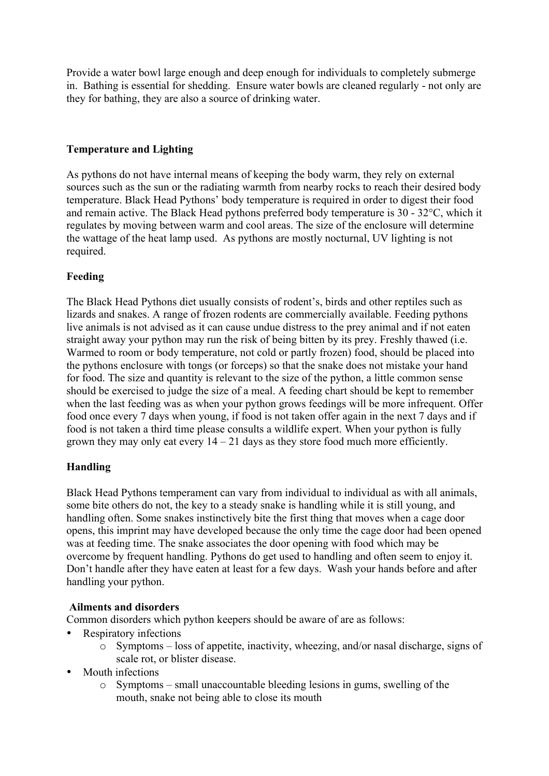Provide a water bowl large enough and deep enough for individuals to completely submerge in. Bathing is essential for shedding. Ensure water bowls are cleaned regularly - not only are they for bathing, they are also a source of drinking water.

### **Temperature and Lighting**

As pythons do not have internal means of keeping the body warm, they rely on external sources such as the sun or the radiating warmth from nearby rocks to reach their desired body temperature. Black Head Pythons' body temperature is required in order to digest their food and remain active. The Black Head pythons preferred body temperature is 30 - 32°C, which it regulates by moving between warm and cool areas. The size of the enclosure will determine the wattage of the heat lamp used. As pythons are mostly nocturnal, UV lighting is not required.

#### **Feeding**

The Black Head Pythons diet usually consists of rodent's, birds and other reptiles such as lizards and snakes. A range of frozen rodents are commercially available. Feeding pythons live animals is not advised as it can cause undue distress to the prey animal and if not eaten straight away your python may run the risk of being bitten by its prey. Freshly thawed (i.e. Warmed to room or body temperature, not cold or partly frozen) food, should be placed into the pythons enclosure with tongs (or forceps) so that the snake does not mistake your hand for food. The size and quantity is relevant to the size of the python, a little common sense should be exercised to judge the size of a meal. A feeding chart should be kept to remember when the last feeding was as when your python grows feedings will be more infrequent. Offer food once every 7 days when young, if food is not taken offer again in the next 7 days and if food is not taken a third time please consults a wildlife expert. When your python is fully grown they may only eat every  $14 - 21$  days as they store food much more efficiently.

### **Handling**

Black Head Pythons temperament can vary from individual to individual as with all animals, some bite others do not, the key to a steady snake is handling while it is still young, and handling often. Some snakes instinctively bite the first thing that moves when a cage door opens, this imprint may have developed because the only time the cage door had been opened was at feeding time. The snake associates the door opening with food which may be overcome by frequent handling. Pythons do get used to handling and often seem to enjoy it. Don't handle after they have eaten at least for a few days. Wash your hands before and after handling your python.

#### **Ailments and disorders**

Common disorders which python keepers should be aware of are as follows:

- Respiratory infections
	- o Symptoms loss of appetite, inactivity, wheezing, and/or nasal discharge, signs of scale rot, or blister disease.
- Mouth infections
	- o Symptoms small unaccountable bleeding lesions in gums, swelling of the mouth, snake not being able to close its mouth